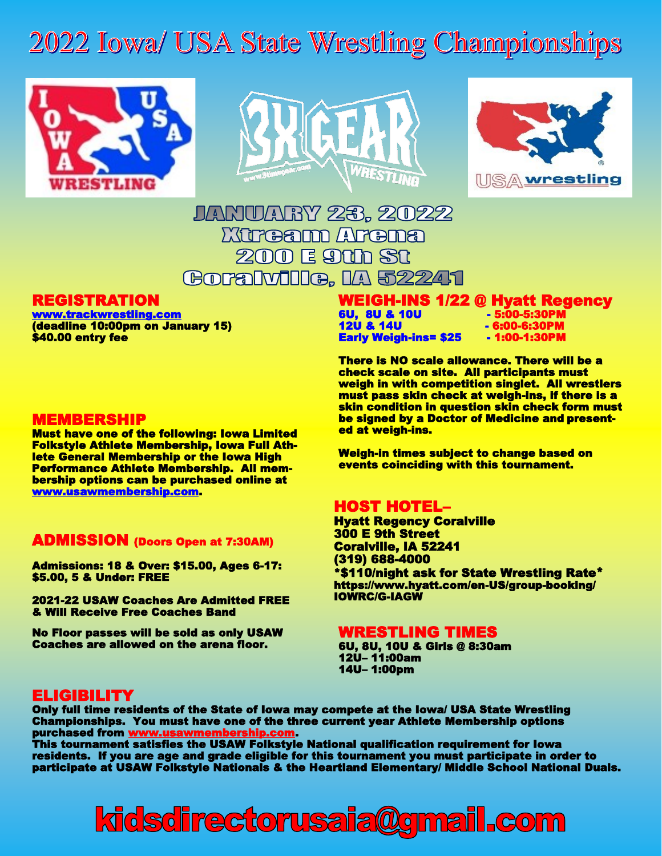## 2022 Iowa/ USA State Wrestling Championships







### JANUARY 23. 2022 *Mirrearm Arrema* 200 E 91h St Goralville, IA 52241

#### REGISTRATION

[www.trackwrestling.com](http://www.trackwrestling.com)  (deadline 10:00pm on January 15) \$40.00 entry fee

#### MEMBERSHIP

Must have one of the following: Iowa Limited Folkstyle Athlete Membership, Iowa Full Athlete General Membership or the Iowa High Performance Athlete Membership. All membership options can be purchased online at [www.usawmembership.com.](http://www.usawmembership.com)

#### ADMISSION (Doors Open at 7:30AM)

Admissions: 18 & Over: \$15.00, Ages 6-17: \$5.00, 5 & Under: FREE

2021-22 USAW Coaches Are Admitted FREE & Will Receive Free Coaches Band

No Floor passes will be sold as only USAW Coaches are allowed on the arena floor.

#### WEIGH-INS 1/22 @ Hyatt Regency 6U, 8U & 10U - 5:00-5:30PM 12U & 14U - 6:00-6:30PM

**Early Weigh-ins= \$25** 

There is NO scale allowance. There will be a check scale on site. All participants must weigh in with competition singlet. All wrestlers must pass skin check at weigh-ins, if there is a skin condition in question skin check form must be signed by a Doctor of Medicine and presented at weigh-ins.

Weigh-in times subject to change based on events coinciding with this tournament.

#### HOST HOTEL–

Hyatt Regency Coralville 300 E 9th Street Coralville, IA 52241 (319) 688-4000 \*\$110/night ask for State Wrestling Rate\* https://www.hyatt.com/en-US/group-booking/ IOWRC/G-IAGW

#### WRESTLING TIMES

6U, 8U, 10U & Girls @ 8:30am 12U– 11:00am 14U– 1:00pm

#### ELIGIBILITY

Only full time residents of the State of Iowa may compete at the Iowa/ USA State Wrestling Championships. You must have one of the three current year Athlete Membership options purchased from [www.usawmembership.com.](http://www.usawmembership.com)

This tournament satisfies the USAW Folkstyle National qualification requirement for Iowa residents. If you are age and grade eligible for this tournament you must participate in order to participate at USAW Folkstyle Nationals & the Heartland Elementary/ Middle School National Duals.

# kidsdirectorusaia@gmail.com